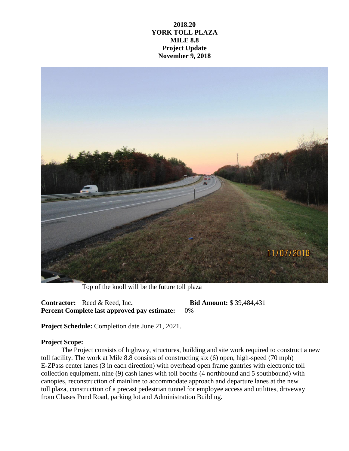## **2018.20 YORK TOLL PLAZA MILE 8.8 Project Update November 9, 2018**



Top of the knoll will be the future toll plaza

**Contractor:** Reed & Reed, Inc**. Bid Amount:** \$ 39,484,431 **Percent Complete last approved pay estimate:** 0%

**Project Schedule:** Completion date June 21, 2021.

## **Project Scope:**

The Project consists of highway, structures, building and site work required to construct a new toll facility. The work at Mile 8.8 consists of constructing six (6) open, high-speed (70 mph) E-ZPass center lanes (3 in each direction) with overhead open frame gantries with electronic toll collection equipment, nine (9) cash lanes with toll booths (4 northbound and 5 southbound) with canopies, reconstruction of mainline to accommodate approach and departure lanes at the new toll plaza, construction of a precast pedestrian tunnel for employee access and utilities, driveway from Chases Pond Road, parking lot and Administration Building.